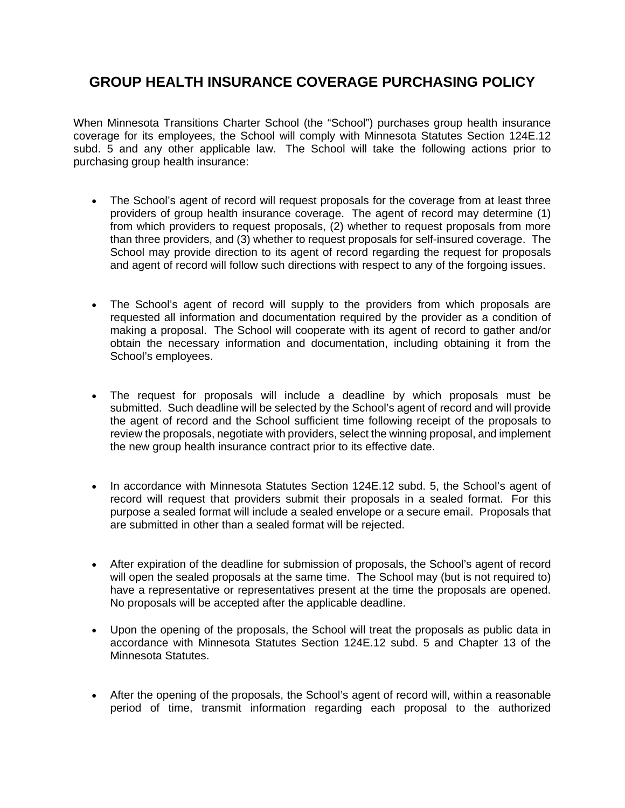## **GROUP HEALTH INSURANCE COVERAGE PURCHASING POLICY**

When Minnesota Transitions Charter School (the "School") purchases group health insurance coverage for its employees, the School will comply with Minnesota Statutes Section 124E.12 subd. 5 and any other applicable law. The School will take the following actions prior to purchasing group health insurance:

- The School's agent of record will request proposals for the coverage from at least three providers of group health insurance coverage. The agent of record may determine (1) from which providers to request proposals, (2) whether to request proposals from more than three providers, and (3) whether to request proposals for self-insured coverage. The School may provide direction to its agent of record regarding the request for proposals and agent of record will follow such directions with respect to any of the forgoing issues.
- The School's agent of record will supply to the providers from which proposals are requested all information and documentation required by the provider as a condition of making a proposal. The School will cooperate with its agent of record to gather and/or obtain the necessary information and documentation, including obtaining it from the School's employees.
- The request for proposals will include a deadline by which proposals must be submitted. Such deadline will be selected by the School's agent of record and will provide the agent of record and the School sufficient time following receipt of the proposals to review the proposals, negotiate with providers, select the winning proposal, and implement the new group health insurance contract prior to its effective date.
- In accordance with Minnesota Statutes Section 124E.12 subd. 5, the School's agent of record will request that providers submit their proposals in a sealed format. For this purpose a sealed format will include a sealed envelope or a secure email. Proposals that are submitted in other than a sealed format will be rejected.
- After expiration of the deadline for submission of proposals, the School's agent of record will open the sealed proposals at the same time. The School may (but is not required to) have a representative or representatives present at the time the proposals are opened. No proposals will be accepted after the applicable deadline.
- Upon the opening of the proposals, the School will treat the proposals as public data in accordance with Minnesota Statutes Section 124E.12 subd. 5 and Chapter 13 of the Minnesota Statutes.
- After the opening of the proposals, the School's agent of record will, within a reasonable period of time, transmit information regarding each proposal to the authorized